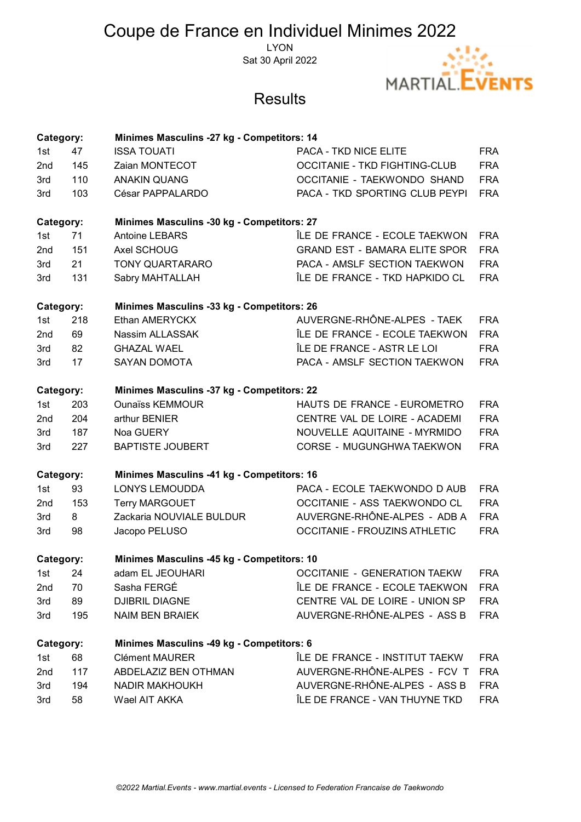# Coupe de France en Individuel Minimes 2022

**LYON** Sat 30 April 2022



## **Results**

| Category:                                               |     | Minimes Masculins -27 kg - Competitors: 14        |                                      |            |  |  |
|---------------------------------------------------------|-----|---------------------------------------------------|--------------------------------------|------------|--|--|
| 1st                                                     | 47  | <b>ISSA TOUATI</b>                                | PACA - TKD NICE ELITE                | <b>FRA</b> |  |  |
| 2nd                                                     | 145 | Zaian MONTECOT                                    | <b>OCCITANIE - TKD FIGHTING-CLUB</b> | <b>FRA</b> |  |  |
| 3rd                                                     | 110 | <b>ANAKIN QUANG</b>                               | OCCITANIE - TAEKWONDO SHAND          | <b>FRA</b> |  |  |
| 3rd                                                     | 103 | César PAPPALARDO                                  | PACA - TKD SPORTING CLUB PEYPI       | <b>FRA</b> |  |  |
| Category:                                               |     | Minimes Masculins -30 kg - Competitors: 27        |                                      |            |  |  |
| 1st                                                     | 71  | <b>Antoine LEBARS</b>                             | ÎLE DE FRANCE - ECOLE TAEKWON        | <b>FRA</b> |  |  |
| 2nd                                                     | 151 | Axel SCHOUG                                       | <b>GRAND EST - BAMARA ELITE SPOR</b> | <b>FRA</b> |  |  |
| 3rd                                                     | 21  | TONY QUARTARARO                                   | PACA - AMSLF SECTION TAEKWON         | <b>FRA</b> |  |  |
| 3rd                                                     | 131 | Sabry MAHTALLAH                                   | ÎLE DE FRANCE - TKD HAPKIDO CL       | <b>FRA</b> |  |  |
| Category:<br>Minimes Masculins -33 kg - Competitors: 26 |     |                                                   |                                      |            |  |  |
| 1st                                                     | 218 | Ethan AMERYCKX                                    | AUVERGNE-RHÔNE-ALPES - TAEK          | <b>FRA</b> |  |  |
| 2nd                                                     | 69  | Nassim ALLASSAK                                   | ÎLE DE FRANCE - ECOLE TAEKWON        | <b>FRA</b> |  |  |
| 3rd                                                     | 82  | <b>GHAZAL WAEL</b>                                | ÎLE DE FRANCE - ASTR LE LOI          | <b>FRA</b> |  |  |
| 3rd                                                     | 17  | <b>SAYAN DOMOTA</b>                               | PACA - AMSLF SECTION TAEKWON         | <b>FRA</b> |  |  |
| Category:                                               |     | <b>Minimes Masculins -37 kg - Competitors: 22</b> |                                      |            |  |  |
| 1st                                                     | 203 | <b>Ounaïss KEMMOUR</b>                            | HAUTS DE FRANCE - EUROMETRO          | <b>FRA</b> |  |  |
| 2nd                                                     | 204 | arthur BENIER                                     | CENTRE VAL DE LOIRE - ACADEMI        | <b>FRA</b> |  |  |
| 3rd                                                     | 187 | Noa GUERY                                         | NOUVELLE AQUITAINE - MYRMIDO         | <b>FRA</b> |  |  |
| 3rd                                                     | 227 | <b>BAPTISTE JOUBERT</b>                           | CORSE - MUGUNGHWA TAEKWON            | <b>FRA</b> |  |  |
| Minimes Masculins -41 kg - Competitors: 16<br>Category: |     |                                                   |                                      |            |  |  |
| 1st                                                     | 93  | <b>LONYS LEMOUDDA</b>                             | PACA - ECOLE TAEKWONDO D AUB         | <b>FRA</b> |  |  |
| 2nd                                                     | 153 | <b>Terry MARGOUET</b>                             | OCCITANIE - ASS TAEKWONDO CL         | <b>FRA</b> |  |  |
| 3rd                                                     | 8   | Zackaria NOUVIALE BULDUR                          | AUVERGNE-RHÔNE-ALPES - ADB A         | <b>FRA</b> |  |  |
| 3rd                                                     | 98  | Jacopo PELUSO                                     | <b>OCCITANIE - FROUZINS ATHLETIC</b> | <b>FRA</b> |  |  |
| Category:                                               |     | Minimes Masculins -45 kg - Competitors: 10        |                                      |            |  |  |
| 1st                                                     | 24  | adam EL JEOUHARI                                  | <b>OCCITANIE - GENERATION TAEKW</b>  | <b>FRA</b> |  |  |
| 2nd                                                     | 70  | Sasha FERGÉ                                       | ÎLE DE FRANCE - ECOLE TAEKWON        | <b>FRA</b> |  |  |
| 3rd                                                     | 89  | <b>DJIBRIL DIAGNE</b>                             | CENTRE VAL DE LOIRE - UNION SP       | <b>FRA</b> |  |  |
| 3rd                                                     | 195 | <b>NAIM BEN BRAIEK</b>                            | AUVERGNE-RHÔNE-ALPES - ASS B         | <b>FRA</b> |  |  |
| Minimes Masculins -49 kg - Competitors: 6<br>Category:  |     |                                                   |                                      |            |  |  |
| 1st                                                     | 68  | <b>Clément MAURER</b>                             | ÎLE DE FRANCE - INSTITUT TAEKW       | <b>FRA</b> |  |  |
| 2nd                                                     | 117 | ABDELAZIZ BEN OTHMAN                              | AUVERGNE-RHÔNE-ALPES - FCV T         | <b>FRA</b> |  |  |
| 3rd                                                     | 194 | <b>NADIR MAKHOUKH</b>                             | AUVERGNE-RHÔNE-ALPES - ASS B         | <b>FRA</b> |  |  |
| 3rd                                                     | 58  | Wael AIT AKKA                                     | ÎLE DE FRANCE - VAN THUYNE TKD       | <b>FRA</b> |  |  |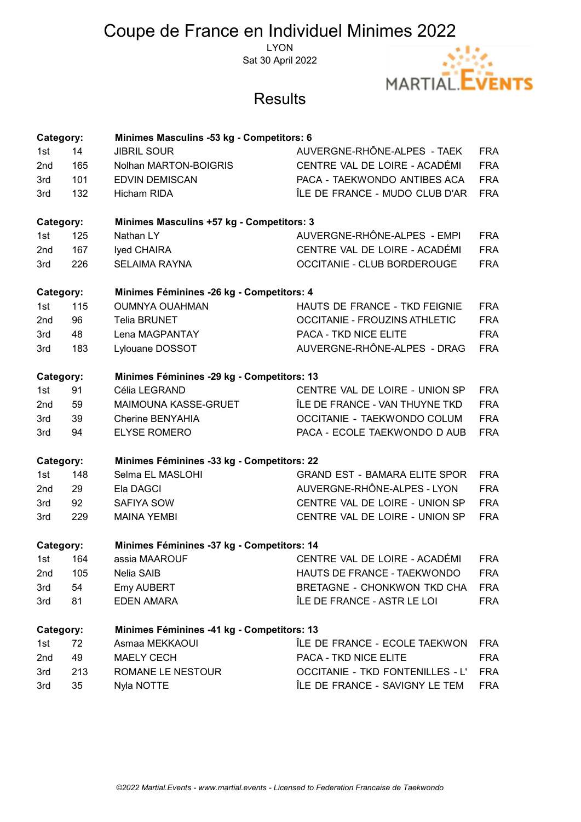# Coupe de France en Individuel Minimes 2022

LYON Sat 30 April 2022



## **Results**

| Category:                                               |     | Minimes Masculins -53 kg - Competitors: 6  |                                         |            |  |  |
|---------------------------------------------------------|-----|--------------------------------------------|-----------------------------------------|------------|--|--|
| 1st                                                     | 14  | <b>JIBRIL SOUR</b>                         | AUVERGNE-RHÔNE-ALPES - TAEK             | <b>FRA</b> |  |  |
| 2nd                                                     | 165 | Nolhan MARTON-BOIGRIS                      | CENTRE VAL DE LOIRE - ACADÉMI           | <b>FRA</b> |  |  |
| 3rd                                                     | 101 | <b>EDVIN DEMISCAN</b>                      | PACA - TAEKWONDO ANTIBES ACA            | <b>FRA</b> |  |  |
| 3rd                                                     | 132 | <b>Hicham RIDA</b>                         | ÎLE DE FRANCE - MUDO CLUB D'AR          | <b>FRA</b> |  |  |
| Category:                                               |     | Minimes Masculins +57 kg - Competitors: 3  |                                         |            |  |  |
| 1st                                                     | 125 | Nathan LY                                  | AUVERGNE-RHÔNE-ALPES - EMPI             | <b>FRA</b> |  |  |
| 2 <sub>nd</sub>                                         | 167 | Iyed CHAIRA                                | CENTRE VAL DE LOIRE - ACADÉMI           | <b>FRA</b> |  |  |
| 3rd                                                     | 226 | <b>SELAIMA RAYNA</b>                       | <b>OCCITANIE - CLUB BORDEROUGE</b>      | <b>FRA</b> |  |  |
| Category:                                               |     | Minimes Féminines -26 kg - Competitors: 4  |                                         |            |  |  |
| 1st                                                     | 115 | <b>OUMNYA OUAHMAN</b>                      | HAUTS DE FRANCE - TKD FEIGNIE           | <b>FRA</b> |  |  |
| 2nd                                                     | 96  | <b>Telia BRUNET</b>                        | <b>OCCITANIE - FROUZINS ATHLETIC</b>    | <b>FRA</b> |  |  |
| 3rd                                                     | 48  | Lena MAGPANTAY                             | PACA - TKD NICE ELITE                   | <b>FRA</b> |  |  |
| 3rd                                                     | 183 | Lylouane DOSSOT                            | AUVERGNE-RHÔNE-ALPES - DRAG             | <b>FRA</b> |  |  |
| Category:                                               |     | Minimes Féminines -29 kg - Competitors: 13 |                                         |            |  |  |
| 1st                                                     | 91  | Célia LEGRAND                              | CENTRE VAL DE LOIRE - UNION SP          | <b>FRA</b> |  |  |
| 2nd                                                     | 59  | <b>MAIMOUNA KASSE-GRUET</b>                | ÎLE DE FRANCE - VAN THUYNE TKD          | <b>FRA</b> |  |  |
| 3rd                                                     | 39  | Cherine BENYAHIA                           | OCCITANIE - TAEKWONDO COLUM             | <b>FRA</b> |  |  |
| 3rd                                                     | 94  | <b>ELYSE ROMERO</b>                        | PACA - ECOLE TAEKWONDO D AUB            | <b>FRA</b> |  |  |
| Category:                                               |     | Minimes Féminines -33 kg - Competitors: 22 |                                         |            |  |  |
| 1st                                                     | 148 | Selma EL MASLOHI                           | <b>GRAND EST - BAMARA ELITE SPOR</b>    | <b>FRA</b> |  |  |
| 2 <sub>nd</sub>                                         | 29  | Ela DAGCI                                  | AUVERGNE-RHÔNE-ALPES - LYON             | <b>FRA</b> |  |  |
| 3rd                                                     | 92  | SAFIYA SOW                                 | CENTRE VAL DE LOIRE - UNION SP          | <b>FRA</b> |  |  |
| 3rd                                                     | 229 | <b>MAINA YEMBI</b>                         | CENTRE VAL DE LOIRE - UNION SP          | <b>FRA</b> |  |  |
| Minimes Féminines -37 kg - Competitors: 14<br>Category: |     |                                            |                                         |            |  |  |
| 1st                                                     | 164 | assia MAAROUF                              | CENTRE VAL DE LOIRE - ACADÉMI           | <b>FRA</b> |  |  |
| 2nd                                                     | 105 | Nelia SAIB                                 | HAUTS DE FRANCE - TAEKWONDO             | <b>FRA</b> |  |  |
| 3rd                                                     | 54  | <b>Emy AUBERT</b>                          | <b>BRETAGNE - CHONKWON TKD CHA</b>      | <b>FRA</b> |  |  |
| 3rd                                                     | 81  | <b>EDEN AMARA</b>                          | ÎLE DE FRANCE - ASTR LE LOI             | <b>FRA</b> |  |  |
| Minimes Féminines -41 kg - Competitors: 13<br>Category: |     |                                            |                                         |            |  |  |
| 1st                                                     | 72  | Asmaa MEKKAOUI                             | ÎLE DE FRANCE - ECOLE TAEKWON           | <b>FRA</b> |  |  |
| 2nd                                                     | 49  | <b>MAELY CECH</b>                          | <b>PACA - TKD NICE ELITE</b>            | <b>FRA</b> |  |  |
| 3rd                                                     | 213 | ROMANE LE NESTOUR                          | <b>OCCITANIE - TKD FONTENILLES - L'</b> | <b>FRA</b> |  |  |
| 3rd                                                     | 35  | Nyla NOTTE                                 | ÎLE DE FRANCE - SAVIGNY LE TEM          | <b>FRA</b> |  |  |